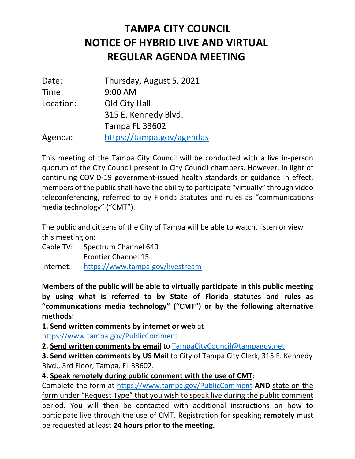## **NOTICE OF HYBRID LIVE AND VIRTUAL REGULAR AGENDA MEETING TAMPA CITY COUNCIL**

| Date:     | Thursday, August 5, 2021  |
|-----------|---------------------------|
| Time:     | 9:00 AM                   |
| Location: | Old City Hall             |
|           | 315 E. Kennedy Blvd.      |
|           | <b>Tampa FL 33602</b>     |
| Agenda:   | https://tampa.gov/agendas |

 This meeting of the Tampa City Council will be conducted with a live in-person quorum of the City Council present in City Council chambers. However, in light of continuing COVID-19 government-issued health standards or guidance in effect, members of the public shall have the ability to participate "virtually" through video teleconferencing, referred to by Florida Statutes and rules as "communications media technology" ("CMT").

 The public and citizens of the City of Tampa will be able to watch, listen or view this meeting on:

 Cable TV: Spectrum Channel 640 Frontier Channel 15 Internet: https://www.tampa.gov/livestream

 **Members of the public will be able to virtually participate in this public meeting by using what is referred to by State of Florida statutes and rules as "communications media technology" ("CMT") or by the following alternative methods:** 

**1. Send written comments by internet or web** at

https://www.tampa.gov/PublicComment

 **2. Send written comments by email** to TampaCityCouncil@tampagov.net

 **3. Send written comments by US Mail** to City of Tampa City Clerk, 315 E. Kennedy Blvd., 3rd Floor, Tampa, FL 33602.

## **4. Speak remotely during public comment with the use of CMT:**

 Complete the form at https://www.tampa.gov/PublicComment **AND** state on the form under "Request Type" that you wish to speak live during the public comment participate live through the use of CMT. Registration for speaking **remotely** must  be requested at least **24 hours prior to the meeting.** period. You will then be contacted with additional instructions on how to